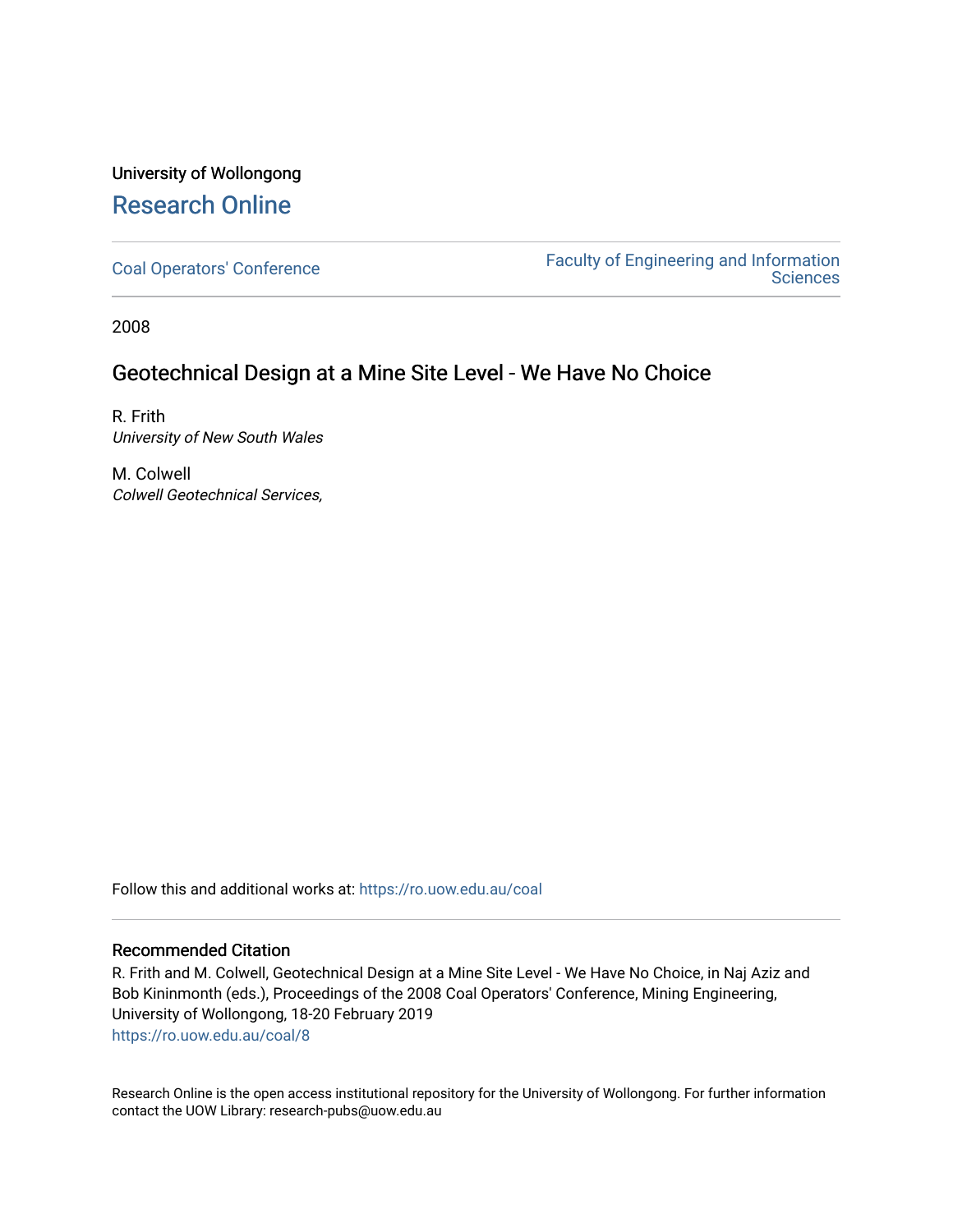### University of Wollongong [Research Online](https://ro.uow.edu.au/)

[Coal Operators' Conference](https://ro.uow.edu.au/coal) [Faculty of Engineering and Information](https://ro.uow.edu.au/eis)  **Sciences** 

2008

### Geotechnical Design at a Mine Site Level - We Have No Choice

R. Frith University of New South Wales

M. Colwell Colwell Geotechnical Services,

Follow this and additional works at: [https://ro.uow.edu.au/coal](https://ro.uow.edu.au/coal?utm_source=ro.uow.edu.au%2Fcoal%2F8&utm_medium=PDF&utm_campaign=PDFCoverPages) 

#### Recommended Citation

R. Frith and M. Colwell, Geotechnical Design at a Mine Site Level - We Have No Choice, in Naj Aziz and Bob Kininmonth (eds.), Proceedings of the 2008 Coal Operators' Conference, Mining Engineering, University of Wollongong, 18-20 February 2019 [https://ro.uow.edu.au/coal/8](https://ro.uow.edu.au/coal/8?utm_source=ro.uow.edu.au%2Fcoal%2F8&utm_medium=PDF&utm_campaign=PDFCoverPages)

Research Online is the open access institutional repository for the University of Wollongong. For further information contact the UOW Library: research-pubs@uow.edu.au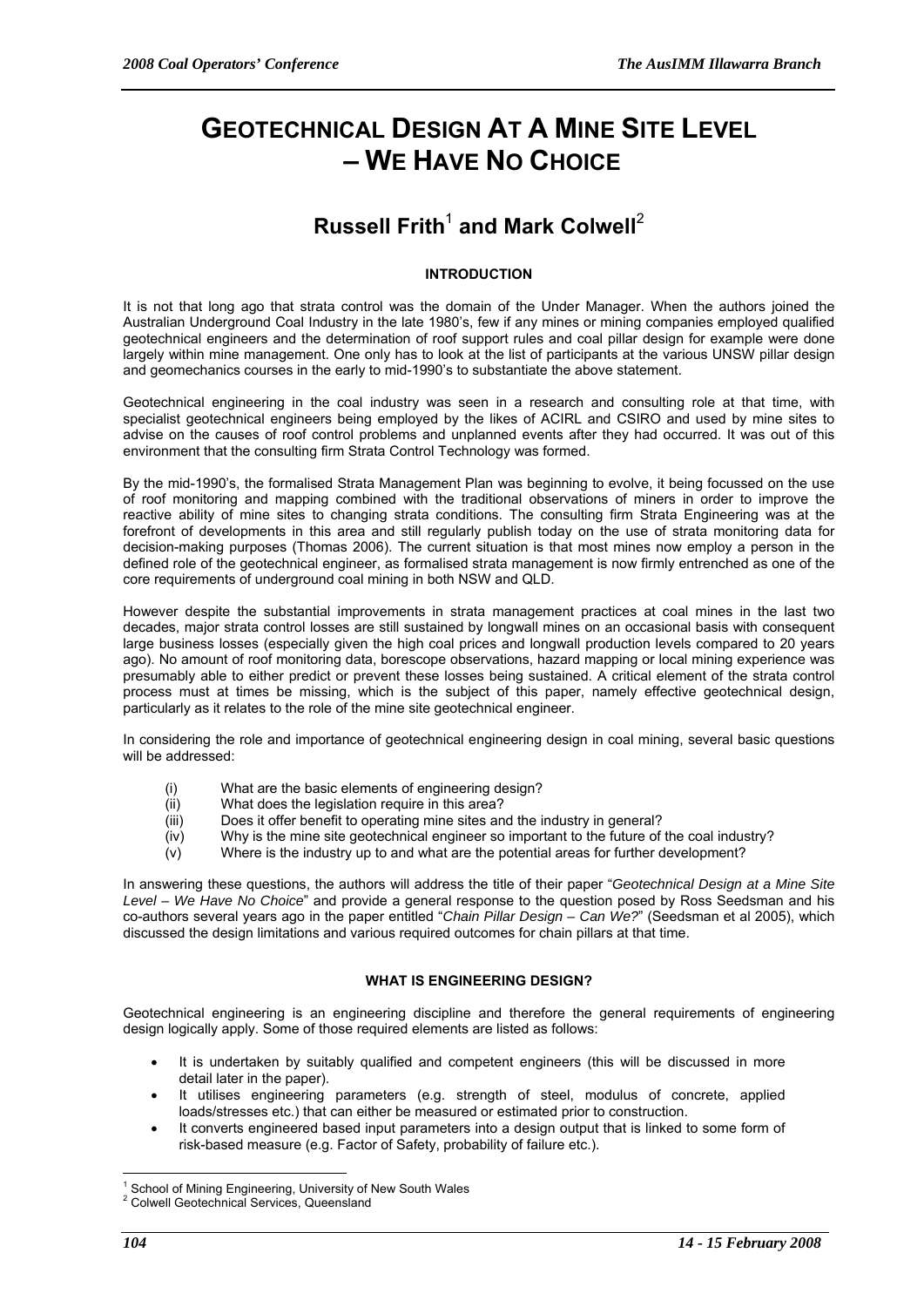# **GEOTECHNICAL DESIGN AT A MINE SITE LEVEL – WE HAVE NO CHOICE**

## **Russell Frith<sup>1</sup> and Mark Colwell<sup>2</sup>**

#### **INTRODUCTION**

It is not that long ago that strata control was the domain of the Under Manager. When the authors joined the Australian Underground Coal Industry in the late 1980's, few if any mines or mining companies employed qualified geotechnical engineers and the determination of roof support rules and coal pillar design for example were done largely within mine management. One only has to look at the list of participants at the various UNSW pillar design and geomechanics courses in the early to mid-1990's to substantiate the above statement.

Geotechnical engineering in the coal industry was seen in a research and consulting role at that time, with specialist geotechnical engineers being employed by the likes of ACIRL and CSIRO and used by mine sites to advise on the causes of roof control problems and unplanned events after they had occurred. It was out of this environment that the consulting firm Strata Control Technology was formed.

By the mid-1990's, the formalised Strata Management Plan was beginning to evolve, it being focussed on the use of roof monitoring and mapping combined with the traditional observations of miners in order to improve the reactive ability of mine sites to changing strata conditions. The consulting firm Strata Engineering was at the forefront of developments in this area and still regularly publish today on the use of strata monitoring data for decision-making purposes (Thomas 2006). The current situation is that most mines now employ a person in the defined role of the geotechnical engineer, as formalised strata management is now firmly entrenched as one of the core requirements of underground coal mining in both NSW and QLD.

However despite the substantial improvements in strata management practices at coal mines in the last two decades, major strata control losses are still sustained by longwall mines on an occasional basis with consequent large business losses (especially given the high coal prices and longwall production levels compared to 20 years ago). No amount of roof monitoring data, borescope observations, hazard mapping or local mining experience was presumably able to either predict or prevent these losses being sustained. A critical element of the strata control process must at times be missing, which is the subject of this paper, namely effective geotechnical design, particularly as it relates to the role of the mine site geotechnical engineer.

In considering the role and importance of geotechnical engineering design in coal mining, several basic questions will be addressed:

- (i) What are the basic elements of engineering design?
- (ii) What does the legislation require in this area?
- (iii) Does it offer benefit to operating mine sites and the industry in general?
- (iv) Why is the mine site geotechnical engineer so important to the future of the coal industry?
- (v) Where is the industry up to and what are the potential areas for further development?

In answering these questions, the authors will address the title of their paper "*Geotechnical Design at a Mine Site Level – We Have No Choice*" and provide a general response to the question posed by Ross Seedsman and his co-authors several years ago in the paper entitled "*Chain Pillar Design – Can We?*" (Seedsman et al 2005), which discussed the design limitations and various required outcomes for chain pillars at that time.

#### **WHAT IS ENGINEERING DESIGN?**

Geotechnical engineering is an engineering discipline and therefore the general requirements of engineering design logically apply. Some of those required elements are listed as follows:

- It is undertaken by suitably qualified and competent engineers (this will be discussed in more detail later in the paper).
- It utilises engineering parameters (e.g. strength of steel, modulus of concrete, applied loads/stresses etc.) that can either be measured or estimated prior to construction.
- It converts engineered based input parameters into a design output that is linked to some form of risk-based measure (e.g. Factor of Safety, probability of failure etc.).

 $\overline{a}$ <sup>1</sup> School of Mining Engineering, University of New South Wales

<sup>2</sup> Colwell Geotechnical Services, Queensland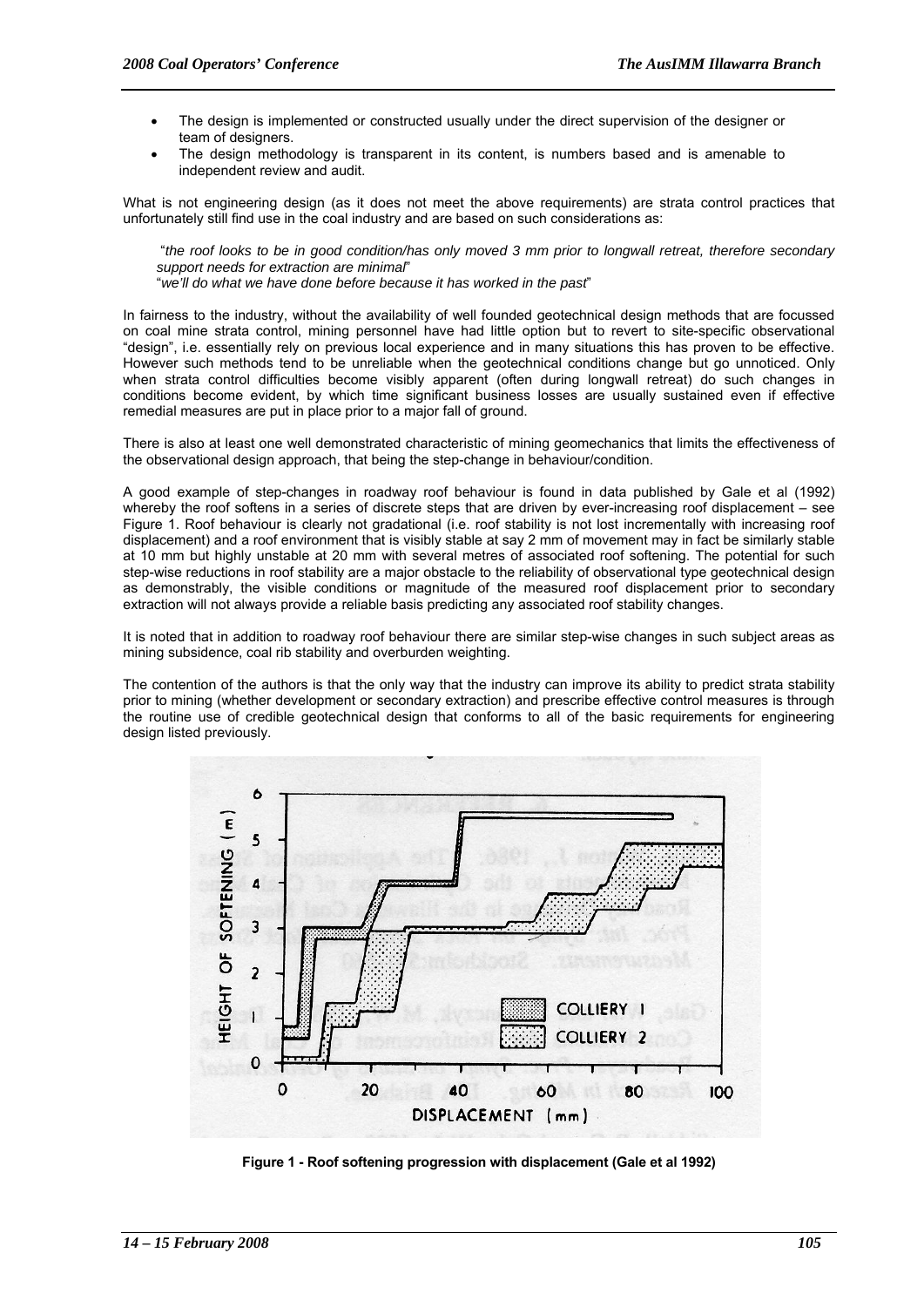- The design is implemented or constructed usually under the direct supervision of the designer or team of designers.
- The design methodology is transparent in its content, is numbers based and is amenable to independent review and audit.

What is not engineering design (as it does not meet the above requirements) are strata control practices that unfortunately still find use in the coal industry and are based on such considerations as:

 "*the roof looks to be in good condition/has only moved 3 mm prior to longwall retreat, therefore secondary support needs for extraction are minimal*"

"*we'll do what we have done before because it has worked in the past*"

In fairness to the industry, without the availability of well founded geotechnical design methods that are focussed on coal mine strata control, mining personnel have had little option but to revert to site-specific observational "design", i.e. essentially rely on previous local experience and in many situations this has proven to be effective. However such methods tend to be unreliable when the geotechnical conditions change but go unnoticed. Only when strata control difficulties become visibly apparent (often during longwall retreat) do such changes in conditions become evident, by which time significant business losses are usually sustained even if effective remedial measures are put in place prior to a major fall of ground.

There is also at least one well demonstrated characteristic of mining geomechanics that limits the effectiveness of the observational design approach, that being the step-change in behaviour/condition.

A good example of step-changes in roadway roof behaviour is found in data published by Gale et al (1992) whereby the roof softens in a series of discrete steps that are driven by ever-increasing roof displacement – see Figure 1. Roof behaviour is clearly not gradational (i.e. roof stability is not lost incrementally with increasing roof displacement) and a roof environment that is visibly stable at say 2 mm of movement may in fact be similarly stable at 10 mm but highly unstable at 20 mm with several metres of associated roof softening. The potential for such step-wise reductions in roof stability are a major obstacle to the reliability of observational type geotechnical design as demonstrably, the visible conditions or magnitude of the measured roof displacement prior to secondary extraction will not always provide a reliable basis predicting any associated roof stability changes.

It is noted that in addition to roadway roof behaviour there are similar step-wise changes in such subject areas as mining subsidence, coal rib stability and overburden weighting.

The contention of the authors is that the only way that the industry can improve its ability to predict strata stability prior to mining (whether development or secondary extraction) and prescribe effective control measures is through the routine use of credible geotechnical design that conforms to all of the basic requirements for engineering design listed previously.



**Figure 1 - Roof softening progression with displacement (Gale et al 1992)**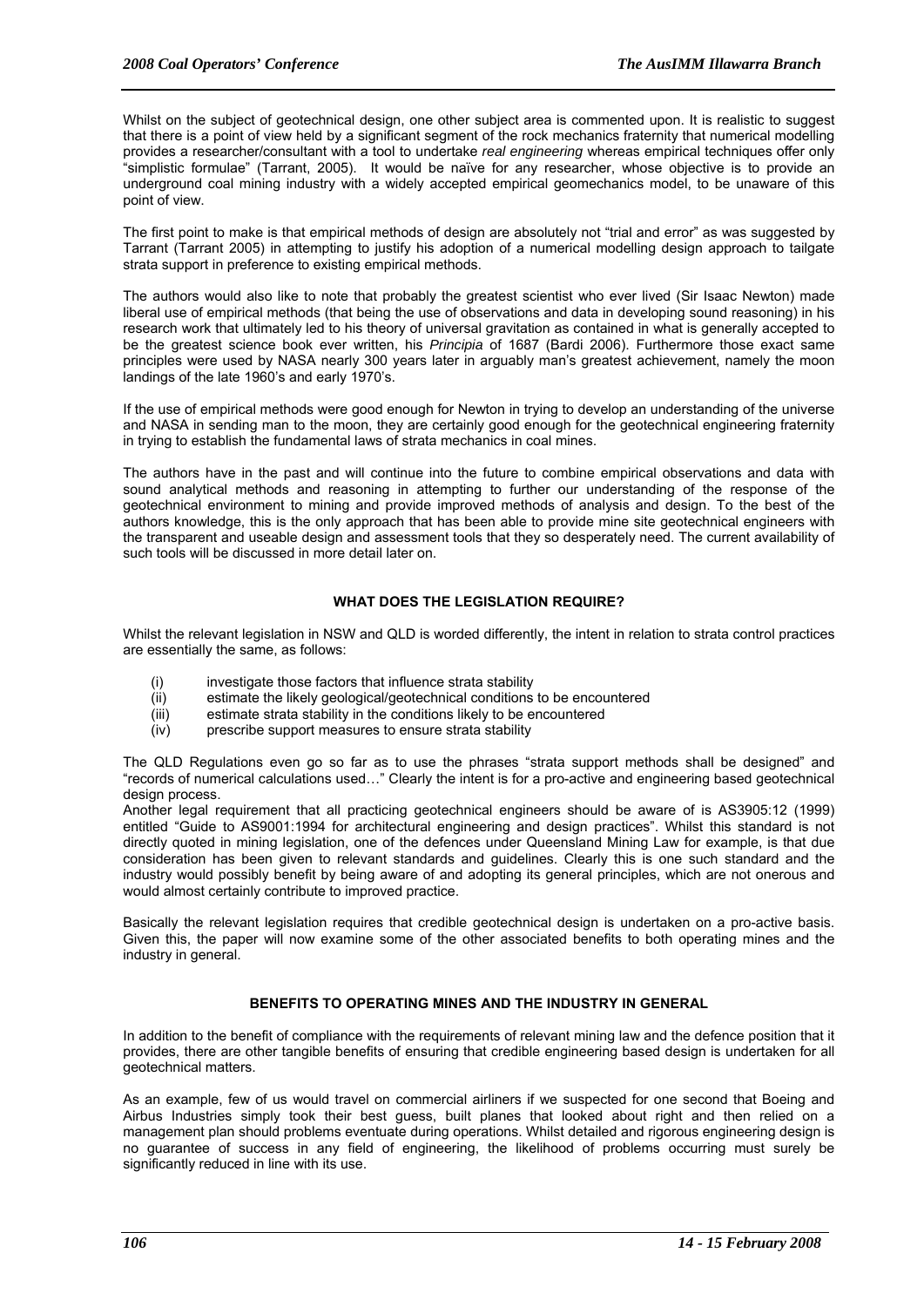Whilst on the subject of geotechnical design, one other subject area is commented upon. It is realistic to suggest that there is a point of view held by a significant segment of the rock mechanics fraternity that numerical modelling provides a researcher/consultant with a tool to undertake *real engineering* whereas empirical techniques offer only "simplistic formulae" (Tarrant, 2005). It would be naïve for any researcher, whose objective is to provide an underground coal mining industry with a widely accepted empirical geomechanics model, to be unaware of this point of view.

The first point to make is that empirical methods of design are absolutely not "trial and error" as was suggested by Tarrant (Tarrant 2005) in attempting to justify his adoption of a numerical modelling design approach to tailgate strata support in preference to existing empirical methods.

The authors would also like to note that probably the greatest scientist who ever lived (Sir Isaac Newton) made liberal use of empirical methods (that being the use of observations and data in developing sound reasoning) in his research work that ultimately led to his theory of universal gravitation as contained in what is generally accepted to be the greatest science book ever written, his *Principia* of 1687 (Bardi 2006). Furthermore those exact same principles were used by NASA nearly 300 years later in arguably man's greatest achievement, namely the moon landings of the late 1960's and early 1970's.

If the use of empirical methods were good enough for Newton in trying to develop an understanding of the universe and NASA in sending man to the moon, they are certainly good enough for the geotechnical engineering fraternity in trying to establish the fundamental laws of strata mechanics in coal mines.

The authors have in the past and will continue into the future to combine empirical observations and data with sound analytical methods and reasoning in attempting to further our understanding of the response of the geotechnical environment to mining and provide improved methods of analysis and design. To the best of the authors knowledge, this is the only approach that has been able to provide mine site geotechnical engineers with the transparent and useable design and assessment tools that they so desperately need. The current availability of such tools will be discussed in more detail later on.

#### **WHAT DOES THE LEGISLATION REQUIRE?**

Whilst the relevant legislation in NSW and QLD is worded differently, the intent in relation to strata control practices are essentially the same, as follows:

- (i) investigate those factors that influence strata stability
- (ii) estimate the likely geological/geotechnical conditions to be encountered
- (iii) estimate strata stability in the conditions likely to be encountered
- (iv) prescribe support measures to ensure strata stability

The QLD Regulations even go so far as to use the phrases "strata support methods shall be designed" and "records of numerical calculations used…" Clearly the intent is for a pro-active and engineering based geotechnical design process.

Another legal requirement that all practicing geotechnical engineers should be aware of is AS3905:12 (1999) entitled "Guide to AS9001:1994 for architectural engineering and design practices". Whilst this standard is not directly quoted in mining legislation, one of the defences under Queensland Mining Law for example, is that due consideration has been given to relevant standards and guidelines. Clearly this is one such standard and the industry would possibly benefit by being aware of and adopting its general principles, which are not onerous and would almost certainly contribute to improved practice.

Basically the relevant legislation requires that credible geotechnical design is undertaken on a pro-active basis. Given this, the paper will now examine some of the other associated benefits to both operating mines and the industry in general.

#### **BENEFITS TO OPERATING MINES AND THE INDUSTRY IN GENERAL**

In addition to the benefit of compliance with the requirements of relevant mining law and the defence position that it provides, there are other tangible benefits of ensuring that credible engineering based design is undertaken for all geotechnical matters.

As an example, few of us would travel on commercial airliners if we suspected for one second that Boeing and Airbus Industries simply took their best guess, built planes that looked about right and then relied on a management plan should problems eventuate during operations. Whilst detailed and rigorous engineering design is no guarantee of success in any field of engineering, the likelihood of problems occurring must surely be significantly reduced in line with its use.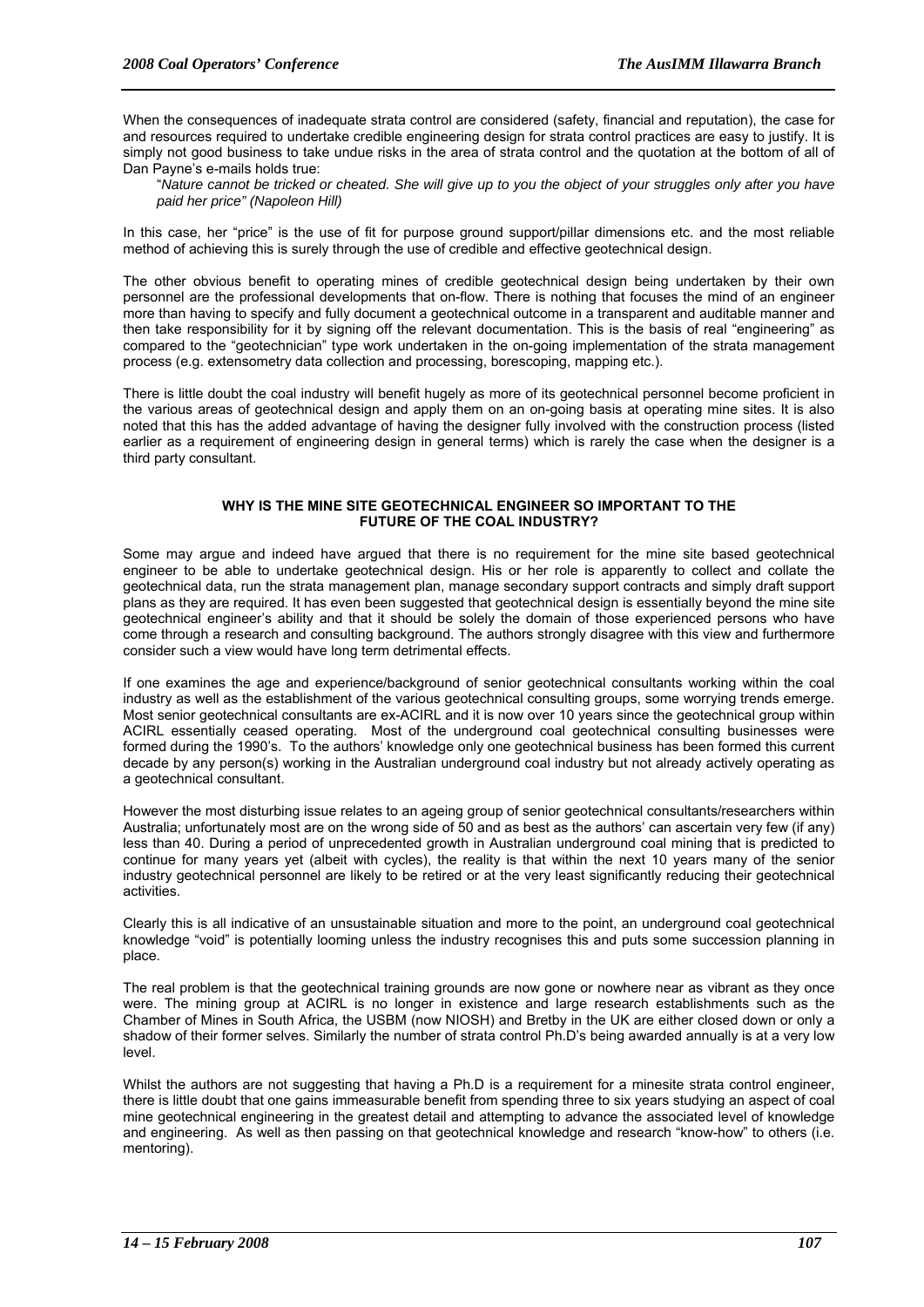When the consequences of inadequate strata control are considered (safety, financial and reputation), the case for and resources required to undertake credible engineering design for strata control practices are easy to justify. It is simply not good business to take undue risks in the area of strata control and the quotation at the bottom of all of Dan Payne's e-mails holds true:

"*Nature cannot be tricked or cheated. She will give up to you the object of your struggles only after you have paid her price" (Napoleon Hill)* 

In this case, her "price" is the use of fit for purpose ground support/pillar dimensions etc. and the most reliable method of achieving this is surely through the use of credible and effective geotechnical design.

The other obvious benefit to operating mines of credible geotechnical design being undertaken by their own personnel are the professional developments that on-flow. There is nothing that focuses the mind of an engineer more than having to specify and fully document a geotechnical outcome in a transparent and auditable manner and then take responsibility for it by signing off the relevant documentation. This is the basis of real "engineering" as compared to the "geotechnician" type work undertaken in the on-going implementation of the strata management process (e.g. extensometry data collection and processing, borescoping, mapping etc.).

There is little doubt the coal industry will benefit hugely as more of its geotechnical personnel become proficient in the various areas of geotechnical design and apply them on an on-going basis at operating mine sites. It is also noted that this has the added advantage of having the designer fully involved with the construction process (listed earlier as a requirement of engineering design in general terms) which is rarely the case when the designer is a third party consultant.

#### **WHY IS THE MINE SITE GEOTECHNICAL ENGINEER SO IMPORTANT TO THE FUTURE OF THE COAL INDUSTRY?**

Some may argue and indeed have argued that there is no requirement for the mine site based geotechnical engineer to be able to undertake geotechnical design. His or her role is apparently to collect and collate the geotechnical data, run the strata management plan, manage secondary support contracts and simply draft support plans as they are required. It has even been suggested that geotechnical design is essentially beyond the mine site geotechnical engineer's ability and that it should be solely the domain of those experienced persons who have come through a research and consulting background. The authors strongly disagree with this view and furthermore consider such a view would have long term detrimental effects.

If one examines the age and experience/background of senior geotechnical consultants working within the coal industry as well as the establishment of the various geotechnical consulting groups, some worrying trends emerge. Most senior geotechnical consultants are ex-ACIRL and it is now over 10 years since the geotechnical group within ACIRL essentially ceased operating. Most of the underground coal geotechnical consulting businesses were formed during the 1990's. To the authors' knowledge only one geotechnical business has been formed this current decade by any person(s) working in the Australian underground coal industry but not already actively operating as a geotechnical consultant.

However the most disturbing issue relates to an ageing group of senior geotechnical consultants/researchers within Australia; unfortunately most are on the wrong side of 50 and as best as the authors' can ascertain very few (if any) less than 40. During a period of unprecedented growth in Australian underground coal mining that is predicted to continue for many years yet (albeit with cycles), the reality is that within the next 10 years many of the senior industry geotechnical personnel are likely to be retired or at the very least significantly reducing their geotechnical activities.

Clearly this is all indicative of an unsustainable situation and more to the point, an underground coal geotechnical knowledge "void" is potentially looming unless the industry recognises this and puts some succession planning in place.

The real problem is that the geotechnical training grounds are now gone or nowhere near as vibrant as they once were. The mining group at ACIRL is no longer in existence and large research establishments such as the Chamber of Mines in South Africa, the USBM (now NIOSH) and Bretby in the UK are either closed down or only a shadow of their former selves. Similarly the number of strata control Ph.D's being awarded annually is at a very low level.

Whilst the authors are not suggesting that having a Ph.D is a requirement for a minesite strata control engineer, there is little doubt that one gains immeasurable benefit from spending three to six years studying an aspect of coal mine geotechnical engineering in the greatest detail and attempting to advance the associated level of knowledge and engineering. As well as then passing on that geotechnical knowledge and research "know-how" to others (i.e. mentoring).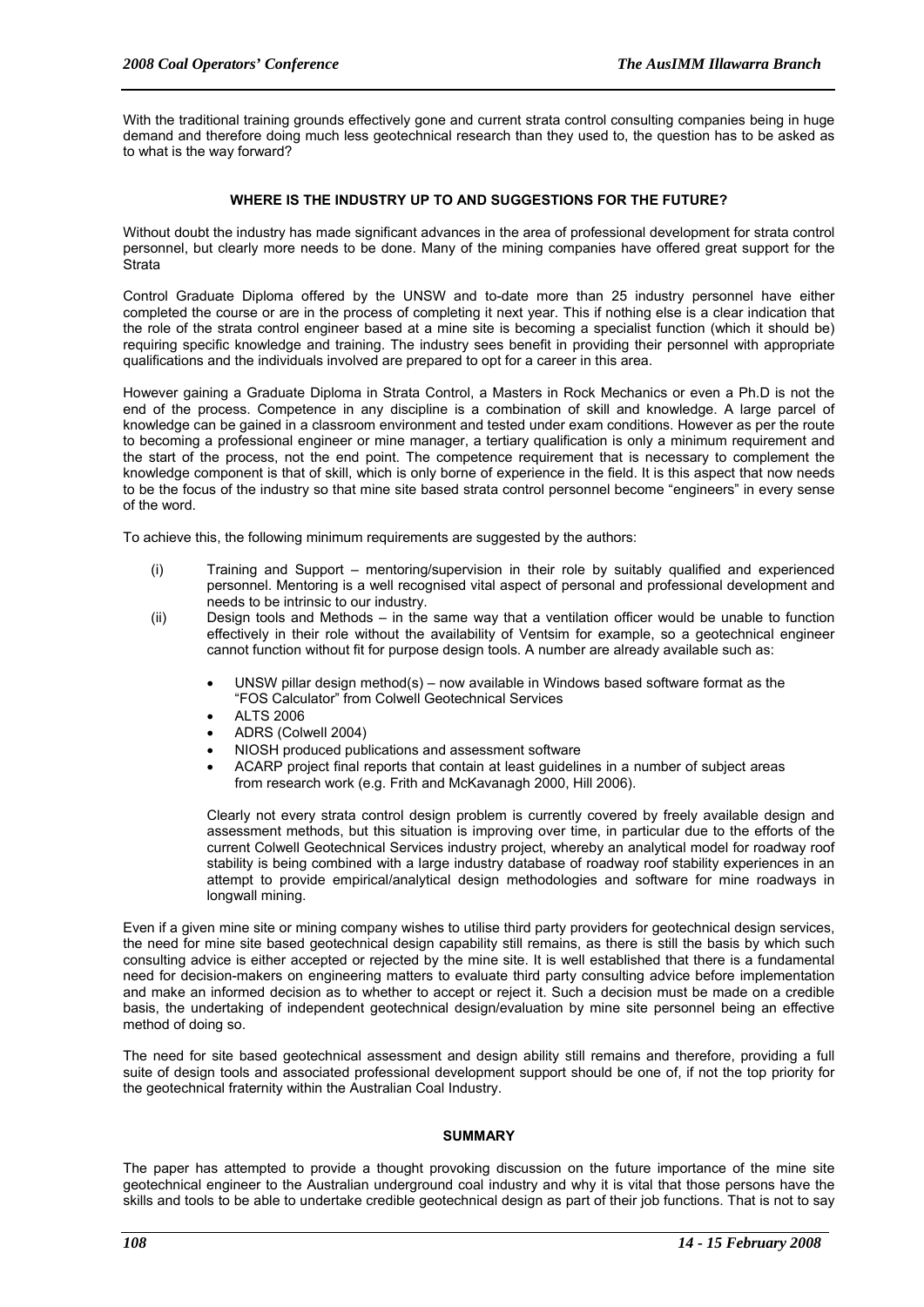With the traditional training grounds effectively gone and current strata control consulting companies being in huge demand and therefore doing much less geotechnical research than they used to, the question has to be asked as to what is the way forward?

#### **WHERE IS THE INDUSTRY UP TO AND SUGGESTIONS FOR THE FUTURE?**

Without doubt the industry has made significant advances in the area of professional development for strata control personnel, but clearly more needs to be done. Many of the mining companies have offered great support for the **Strata** 

Control Graduate Diploma offered by the UNSW and to-date more than 25 industry personnel have either completed the course or are in the process of completing it next year. This if nothing else is a clear indication that the role of the strata control engineer based at a mine site is becoming a specialist function (which it should be) requiring specific knowledge and training. The industry sees benefit in providing their personnel with appropriate qualifications and the individuals involved are prepared to opt for a career in this area.

However gaining a Graduate Diploma in Strata Control, a Masters in Rock Mechanics or even a Ph.D is not the end of the process. Competence in any discipline is a combination of skill and knowledge. A large parcel of knowledge can be gained in a classroom environment and tested under exam conditions. However as per the route to becoming a professional engineer or mine manager, a tertiary qualification is only a minimum requirement and the start of the process, not the end point. The competence requirement that is necessary to complement the knowledge component is that of skill, which is only borne of experience in the field. It is this aspect that now needs to be the focus of the industry so that mine site based strata control personnel become "engineers" in every sense of the word.

To achieve this, the following minimum requirements are suggested by the authors:

- (i) Training and Support mentoring/supervision in their role by suitably qualified and experienced personnel. Mentoring is a well recognised vital aspect of personal and professional development and needs to be intrinsic to our industry.
- (ii) Design tools and Methods in the same way that a ventilation officer would be unable to function effectively in their role without the availability of Ventsim for example, so a geotechnical engineer cannot function without fit for purpose design tools. A number are already available such as:
	- UNSW pillar design method(s) now available in Windows based software format as the "FOS Calculator" from Colwell Geotechnical Services
	- ALTS 2006
	- ADRS (Colwell 2004)
	- NIOSH produced publications and assessment software
	- ACARP project final reports that contain at least guidelines in a number of subject areas from research work (e.g. Frith and McKavanagh 2000, Hill 2006).

Clearly not every strata control design problem is currently covered by freely available design and assessment methods, but this situation is improving over time, in particular due to the efforts of the current Colwell Geotechnical Services industry project, whereby an analytical model for roadway roof stability is being combined with a large industry database of roadway roof stability experiences in an attempt to provide empirical/analytical design methodologies and software for mine roadways in longwall mining.

Even if a given mine site or mining company wishes to utilise third party providers for geotechnical design services, the need for mine site based geotechnical design capability still remains, as there is still the basis by which such consulting advice is either accepted or rejected by the mine site. It is well established that there is a fundamental need for decision-makers on engineering matters to evaluate third party consulting advice before implementation and make an informed decision as to whether to accept or reject it. Such a decision must be made on a credible basis, the undertaking of independent geotechnical design/evaluation by mine site personnel being an effective method of doing so.

The need for site based geotechnical assessment and design ability still remains and therefore, providing a full suite of design tools and associated professional development support should be one of, if not the top priority for the geotechnical fraternity within the Australian Coal Industry.

#### **SUMMARY**

The paper has attempted to provide a thought provoking discussion on the future importance of the mine site geotechnical engineer to the Australian underground coal industry and why it is vital that those persons have the skills and tools to be able to undertake credible geotechnical design as part of their job functions. That is not to say